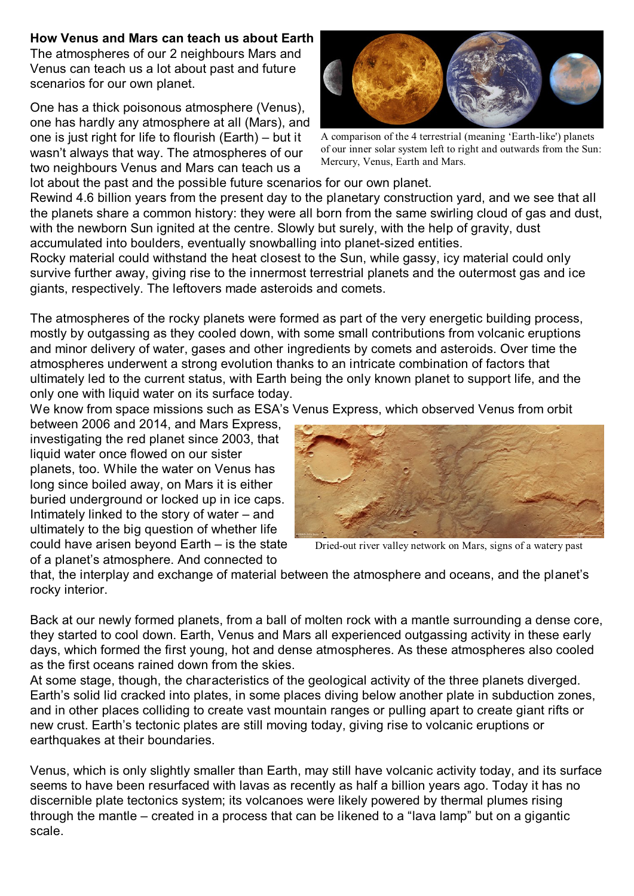## **How Venus and Mars can teach us about Earth**

The atmospheres of our 2 neighbours Mars and Venus can teach us a lot about past and future scenarios for our own planet.

One has a thick poisonous atmosphere (Venus), one has hardly any atmosphere at all (Mars), and one is just right for life to flourish (Earth) – but it wasn't always that way. The atmospheres of our two neighbours Venus and Mars can teach us a



A comparison of the 4 terrestrial (meaning 'Earth-like') planets of our inner solar system left to right and outwards from the Sun: Mercury, Venus, Earth and Mars.

lot about the past and the possible future scenarios for our own planet.

Rewind 4.6 billion years from the present day to the planetary construction yard, and we see that all the planets share a common history: they were all born from the same swirling cloud of gas and dust, with the newborn Sun ignited at the centre. Slowly but surely, with the help of gravity, dust accumulated into boulders, eventually snowballing into planet-sized entities.

Rocky material could withstand the heat closest to the Sun, while gassy, icy material could only survive further away, giving rise to the innermost terrestrial planets and the outermost gas and ice giants, respectively. The leftovers made asteroids and comets.

The atmospheres of the rocky planets were formed as part of the very energetic building process, mostly by outgassing as they cooled down, with some small contributions from volcanic eruptions and minor delivery of water, gases and other ingredients by comets and asteroids. Over time the atmospheres underwent a strong evolution thanks to an intricate combination of factors that ultimately led to the current status, with Earth being the only known planet to support life, and the only one with liquid water on its surface today.

We know from space missions such as ESA's Venus Express, which observed Venus from orbit

between 2006 and 2014, and Mars Express, investigating the red planet since 2003, that liquid water once flowed on our sister planets, too. While the water on Venus has long since boiled away, on Mars it is either buried underground or locked up in ice caps. Intimately linked to the story of water – and ultimately to the big question of whether life could have arisen beyond Earth – is the state of a planet's atmosphere. And connected to



Dried-out river valley network on Mars, signs of a watery past

that, the interplay and exchange of material between the atmosphere and oceans, and the planet's rocky interior.

Back at our newly formed planets, from a ball of molten rock with a mantle surrounding a dense core, they started to cool down. Earth, Venus and Mars all experienced outgassing activity in these early days, which formed the first young, hot and dense atmospheres. As these atmospheres also cooled as the first oceans rained down from the skies.

At some stage, though, the characteristics of the geological activity of the three planets diverged. Earth's solid lid cracked into plates, in some places diving below another plate in subduction zones, and in other places colliding to create vast mountain ranges or pulling apart to create giant rifts or new crust. Earth's tectonic plates are still moving today, giving rise to volcanic eruptions or earthquakes at their boundaries.

Venus, which is only slightly smaller than Earth, may still have volcanic activity today, and its surface seems to have been resurfaced with lavas as recently as half a billion years ago. Today it has no discernible plate tectonics system; its volcanoes were likely powered by thermal plumes rising through the mantle – created in a process that can be likened to a "lava lamp" but on a gigantic scale.